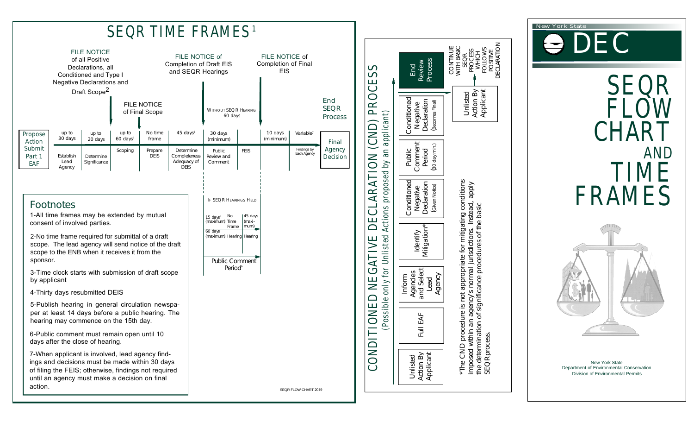

AND